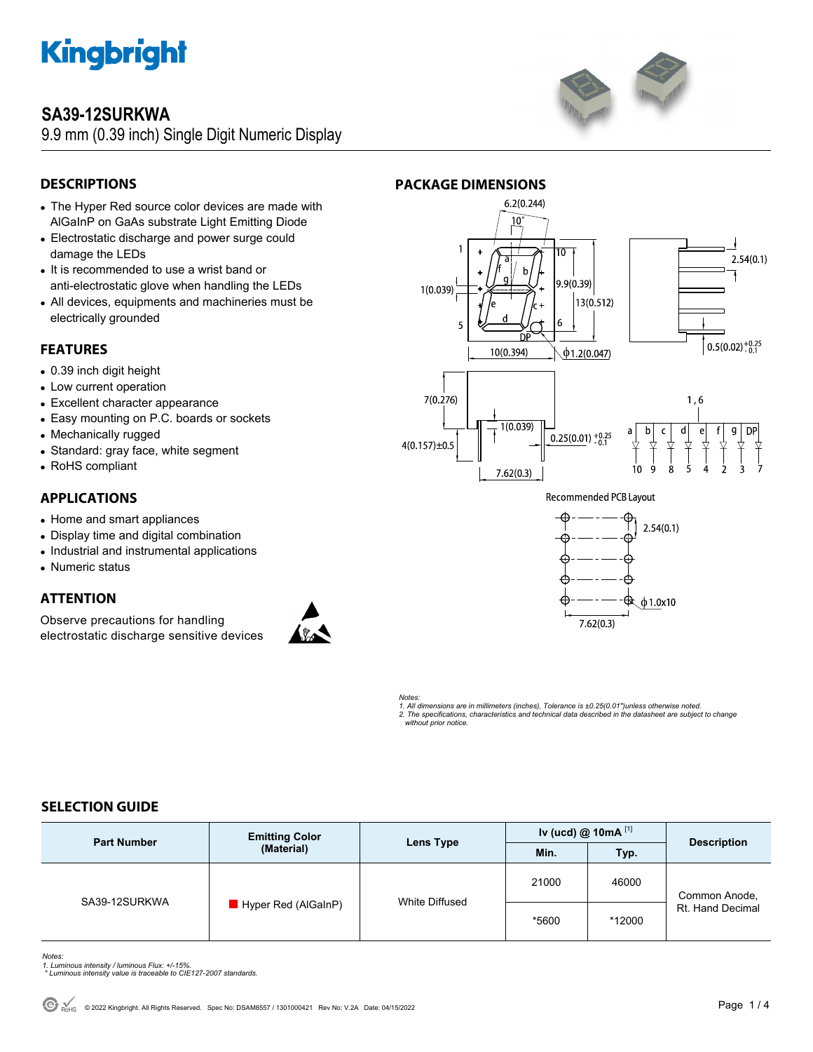

# **SA39-12SURKWA**

9.9 mm (0.39 inch) Single Digit Numeric Display



# **DESCRIPTIONS**

- The Hyper Red source color devices are made with AlGaInP on GaAs substrate Light Emitting Diode
- Electrostatic discharge and power surge could damage the LEDs
- It is recommended to use a wrist band or anti-electrostatic glove when handling the LEDs
- All devices, equipments and machineries must be electrically grounded

# **FEATURES**

- 0.39 inch digit height
- Low current operation
- Excellent character appearance
- Easy mounting on P.C. boards or sockets
- Mechanically rugged
- Standard: gray face, white segment
- RoHS compliant

# **APPLICATIONS**

- Home and smart appliances
- Display time and digital combination
- Industrial and instrumental applications
- Numeric status

# **ATTENTION**

Observe precautions for handling electrostatic discharge sensitive devices





**Recommended PCB Layout** 



*Notes: 1. All dimensions are in millimeters (inches), Tolerance is ±0.25(0.01")unless otherwise noted. 2. The specifications, characteristics and technical data described in the datasheet are subject to change without prior notice.* 

# **SELECTION GUIDE**

| <b>Part Number</b> | <b>Emitting Color</b><br>(Material) | Lens Type      | Iv (ucd) @ 10mA $^{[1]}$ |        | <b>Description</b>                |
|--------------------|-------------------------------------|----------------|--------------------------|--------|-----------------------------------|
|                    |                                     |                | Min.                     | Typ.   |                                   |
| SA39-12SURKWA      | Hyper Red (AlGaInP)                 | White Diffused | 21000                    | 46000  | Common Anode,<br>Rt. Hand Decimal |
|                    |                                     |                | *5600                    | *12000 |                                   |

*Notes:* 

- *1. Luminous intensity / luminous Flux: +/-15%. \* Luminous intensity value is traceable to CIE127-2007 standards.*
-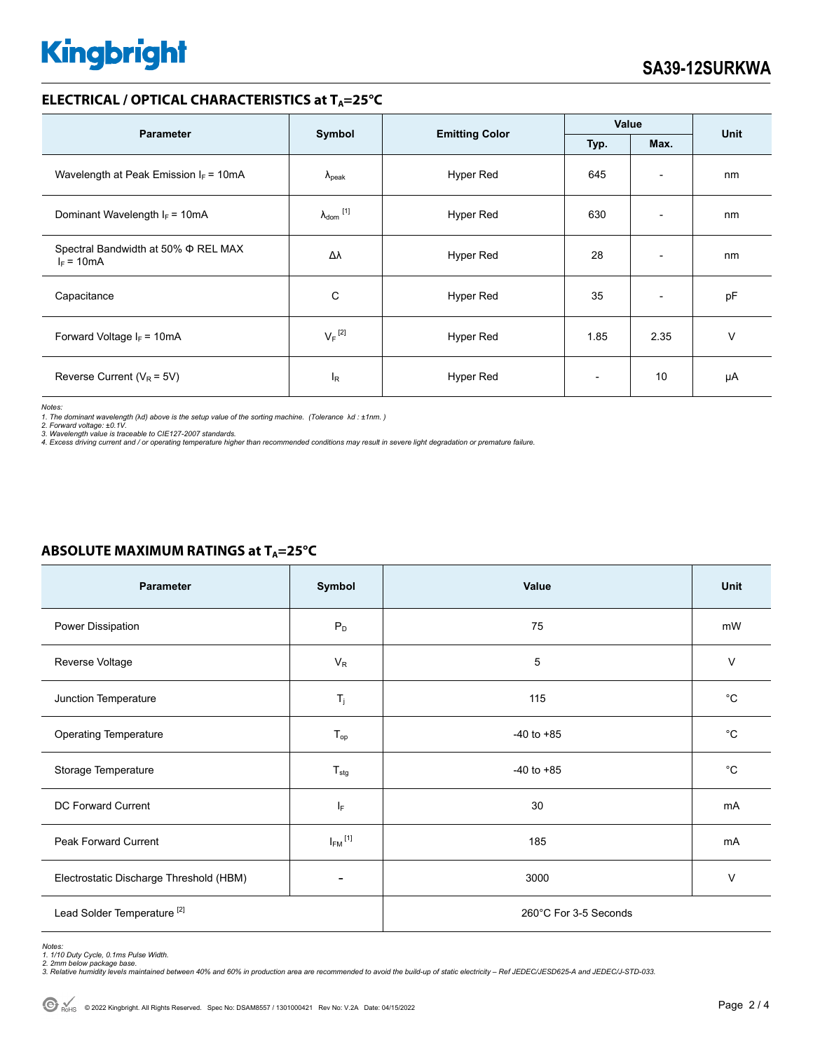# **Kingbright**

# **ELECTRICAL / OPTICAL CHARACTERISTICS at T<sub>A</sub>=25°C**

| <b>Parameter</b>                                         | Symbol                         | <b>Emitting Color</b> | Value                    |                          |             |
|----------------------------------------------------------|--------------------------------|-----------------------|--------------------------|--------------------------|-------------|
|                                                          |                                |                       | Typ.                     | Max.                     | <b>Unit</b> |
| Wavelength at Peak Emission $I_F = 10mA$                 | $\Lambda_{\rm peak}$           | Hyper Red             | 645                      | $\overline{\phantom{a}}$ | nm          |
| Dominant Wavelength $I_F = 10mA$                         | $\lambda_{dom}$ <sup>[1]</sup> | Hyper Red             | 630                      | $\overline{\phantom{0}}$ | nm          |
| Spectral Bandwidth at 50% $\Phi$ REL MAX<br>$I_F = 10mA$ | Δλ                             | <b>Hyper Red</b>      | 28                       | $\overline{\phantom{a}}$ | nm          |
| Capacitance                                              | C                              | Hyper Red             | 35                       | $\overline{\phantom{a}}$ | pF          |
| Forward Voltage $I_F$ = 10mA                             | $V_F$ <sup>[2]</sup>           | Hyper Red             | 1.85                     | 2.35                     | v           |
| Reverse Current ( $V_R$ = 5V)                            | $I_R$                          | Hyper Red             | $\overline{\phantom{0}}$ | 10                       | μA          |

*Notes:* 

1. The dominant wavelength (λd) above is the setup value of the sorting machine. (Tolerance λd : ±1nm. )<br>2. Forward voltage: ±0.1V.<br>3. Wavelength value is traceable to CIE127-2007 standards.<br>4. Excess driving current and

# **ABSOLUTE MAXIMUM RATINGS at T<sub>A</sub>=25°C**

| Parameter                               | Symbol                  | Value                 | <b>Unit</b> |  |
|-----------------------------------------|-------------------------|-----------------------|-------------|--|
| Power Dissipation                       | $P_D$                   | 75                    | mW          |  |
| Reverse Voltage                         | $V_R$                   | 5                     | V           |  |
| Junction Temperature                    | $\mathsf{T}_j$          | 115                   | $^{\circ}C$ |  |
| <b>Operating Temperature</b>            | $T_{\mathsf{op}}$       | $-40$ to $+85$        | $^{\circ}C$ |  |
| Storage Temperature                     | $T_{\text{stg}}$        | $-40$ to $+85$        | $^{\circ}C$ |  |
| DC Forward Current                      | IF.                     | 30                    | mA          |  |
| Peak Forward Current                    | $I_{FM}$ <sup>[1]</sup> | 185                   | mA          |  |
| Electrostatic Discharge Threshold (HBM) |                         | 3000                  | $\vee$      |  |
| Lead Solder Temperature <sup>[2]</sup>  |                         | 260°C For 3-5 Seconds |             |  |

*Notes: 1. 1/10 Duty Cycle, 0.1ms Pulse Width.* 

*2. 2mm below package base. 3. Relative humidity levels maintained between 40% and 60% in production area are recommended to avoid the build-up of static electricity – Ref JEDEC/JESD625-A and JEDEC/J-STD-033.*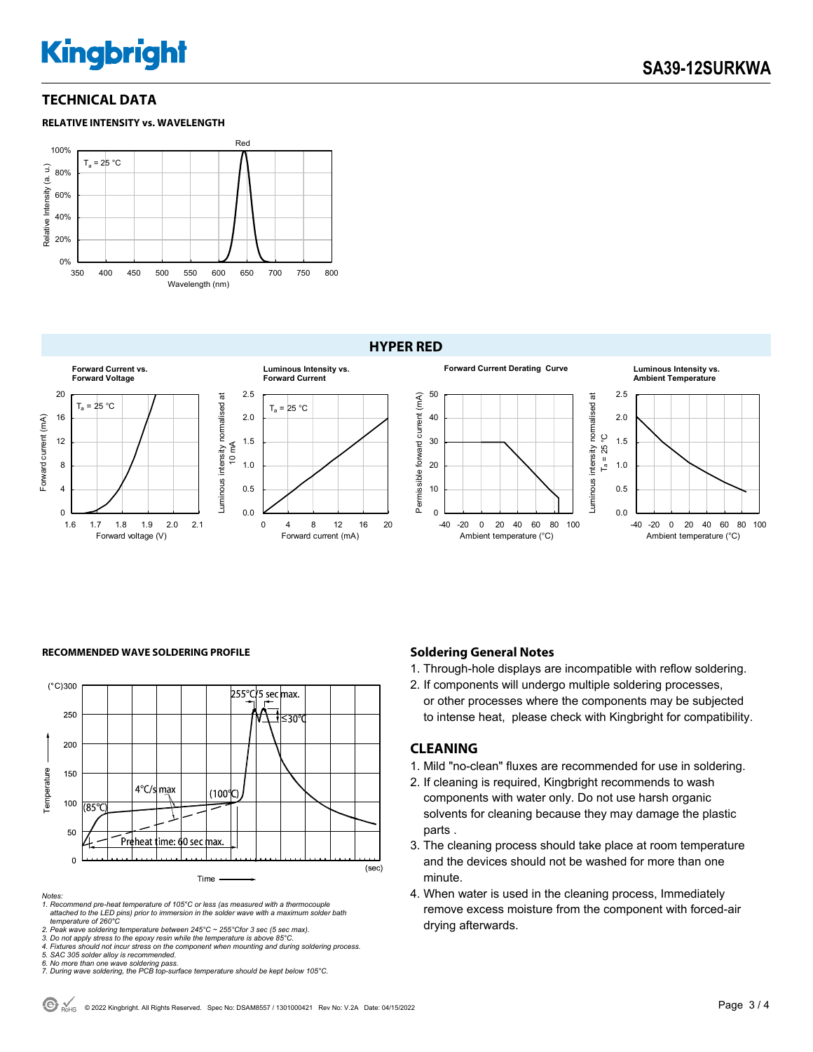# **Kingbright**

# **TECHNICAL DATA**

#### **RELATIVE INTENSITY vs. WAVELENGTH**



#### **HYPER RED**



#### RECOMMENDED WAVE SOLDERING PROFILE **Soldering General Notes Soldering General Notes**



#### *Notes:*

*1. Recommend pre-heat temperature of 105°C or less (as measured with a thermocouple attached to the LED pins) prior to immersion in the solder wave with a maximum solder bath temperature of 260°C* 

*2. Peak wave soldering temperature between 245°C ~ 255°Cfor 3 sec (5 sec max). 3. Do not apply stress to the epoxy resin while the temperature is above 85°C.* 

*4. Fixtures should not incur stress on the component when mounting and during soldering process. 5. SAC 305 solder alloy is recommended.* 

*6. No more than one wave soldering pass. 7. During wave soldering, the PCB top-surface temperature should be kept below 105°C.*

1. Through-hole displays are incompatible with reflow soldering.

2. If components will undergo multiple soldering processes, or other processes where the components may be subjected to intense heat, please check with Kingbright for compatibility.

### **CLEANING**

- 1. Mild "no-clean" fluxes are recommended for use in soldering.
- 2. If cleaning is required, Kingbright recommends to wash components with water only. Do not use harsh organic solvents for cleaning because they may damage the plastic parts .
- 3. The cleaning process should take place at room temperature and the devices should not be washed for more than one minute.
- 4. When water is used in the cleaning process, Immediately remove excess moisture from the component with forced-air drying afterwards.